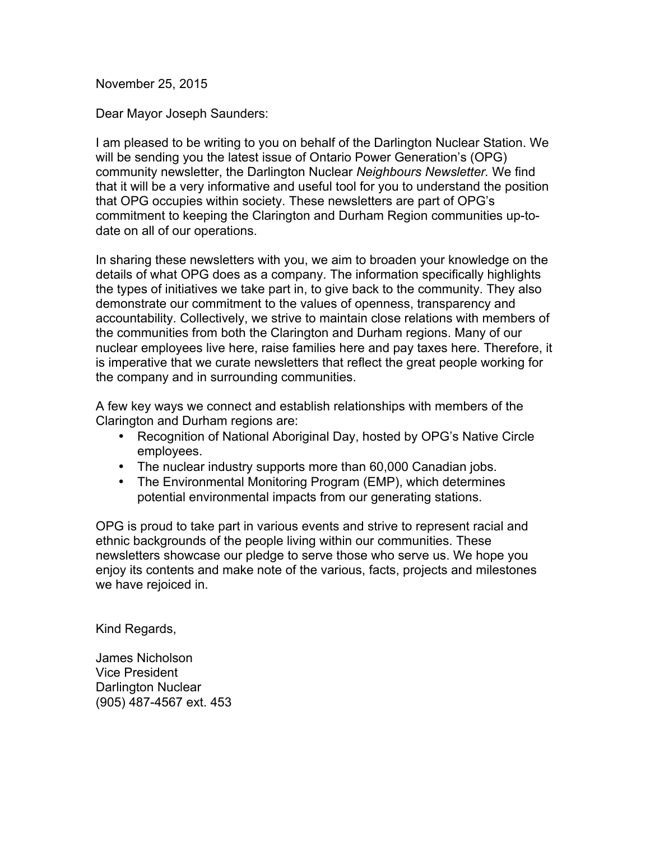November 25, 2015

Dear Mayor Joseph Saunders:

I am pleased to be writing to you on behalf of the Darlington Nuclear Station. We will be sending you the latest issue of Ontario Power Generation's (OPG) community newsletter, the Darlington Nuclear *Neighbours Newsletter.* We find that it will be a very informative and useful tool for you to understand the position that OPG occupies within society. These newsletters are part of OPG's commitment to keeping the Clarington and Durham Region communities up-todate on all of our operations.

In sharing these newsletters with you, we aim to broaden your knowledge on the details of what OPG does as a company. The information specifically highlights the types of initiatives we take part in, to give back to the community. They also demonstrate our commitment to the values of openness, transparency and accountability. Collectively, we strive to maintain close relations with members of the communities from both the Clarington and Durham regions. Many of our nuclear employees live here, raise families here and pay taxes here. Therefore, it is imperative that we curate newsletters that reflect the great people working for the company and in surrounding communities.

A few key ways we connect and establish relationships with members of the Clarington and Durham regions are:

- Recognition of National Aboriginal Day, hosted by OPG's Native Circle employees.
- The nuclear industry supports more than 60,000 Canadian jobs.
- The Environmental Monitoring Program (EMP), which determines potential environmental impacts from our generating stations.

OPG is proud to take part in various events and strive to represent racial and ethnic backgrounds of the people living within our communities. These newsletters showcase our pledge to serve those who serve us. We hope you enjoy its contents and make note of the various, facts, projects and milestones we have rejoiced in.

Kind Regards,

James Nicholson Vice President Darlington Nuclear (905) 487-4567 ext. 453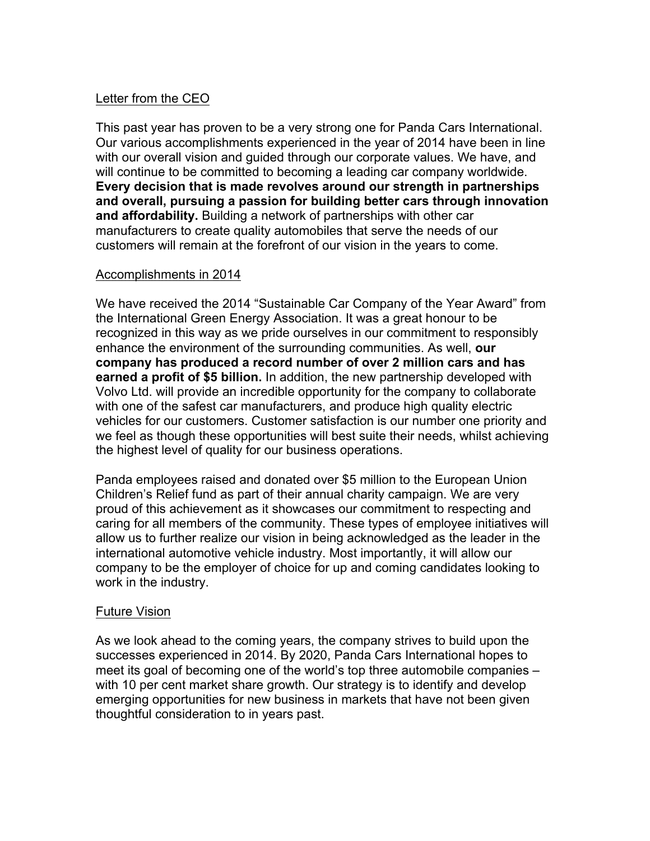## Letter from the CEO

This past year has proven to be a very strong one for Panda Cars International. Our various accomplishments experienced in the year of 2014 have been in line with our overall vision and guided through our corporate values. We have, and will continue to be committed to becoming a leading car company worldwide. **Every decision that is made revolves around our strength in partnerships and overall, pursuing a passion for building better cars through innovation and affordability.** Building a network of partnerships with other car manufacturers to create quality automobiles that serve the needs of our customers will remain at the forefront of our vision in the years to come.

## Accomplishments in 2014

We have received the 2014 "Sustainable Car Company of the Year Award" from the International Green Energy Association. It was a great honour to be recognized in this way as we pride ourselves in our commitment to responsibly enhance the environment of the surrounding communities. As well, **our company has produced a record number of over 2 million cars and has earned a profit of \$5 billion.** In addition, the new partnership developed with Volvo Ltd. will provide an incredible opportunity for the company to collaborate with one of the safest car manufacturers, and produce high quality electric vehicles for our customers. Customer satisfaction is our number one priority and we feel as though these opportunities will best suite their needs, whilst achieving the highest level of quality for our business operations.

Panda employees raised and donated over \$5 million to the European Union Children's Relief fund as part of their annual charity campaign. We are very proud of this achievement as it showcases our commitment to respecting and caring for all members of the community. These types of employee initiatives will allow us to further realize our vision in being acknowledged as the leader in the international automotive vehicle industry. Most importantly, it will allow our company to be the employer of choice for up and coming candidates looking to work in the industry.

## Future Vision

As we look ahead to the coming years, the company strives to build upon the successes experienced in 2014. By 2020, Panda Cars International hopes to meet its goal of becoming one of the world's top three automobile companies – with 10 per cent market share growth. Our strategy is to identify and develop emerging opportunities for new business in markets that have not been given thoughtful consideration to in years past.